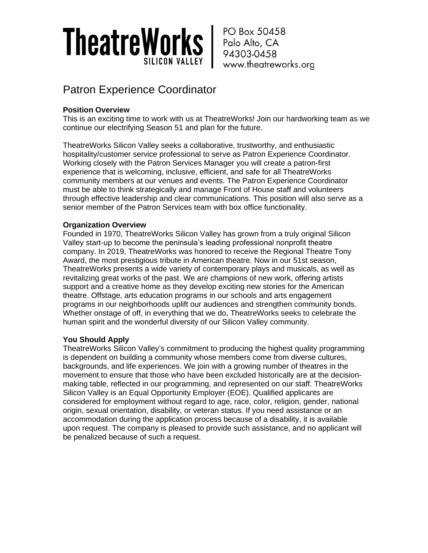

PO Box 50458 Palo Alto, CA 94303-0458 www.theatreworks.org

### Patron Experience Coordinator

#### **Position Overview**

This is an exciting time to work with us at TheatreWorks! Join our hardworking team as we continue our electrifying Season 51 and plan for the future.

TheatreWorks Silicon Valley seeks a collaborative, trustworthy, and enthusiastic hospitality/customer service professional to serve as Patron Experience Coordinator. Working closely with the Patron Services Manager you will create a patron-first experience that is welcoming, inclusive, efficient, and safe for all TheatreWorks community members at our venues and events. The Patron Experience Coordinator must be able to think strategically and manage Front of House staff and volunteers through effective leadership and clear communications. This position will also serve as a senior member of the Patron Services team with box office functionality.

#### **Organization Overview**

Founded in 1970, TheatreWorks Silicon Valley has grown from a truly original Silicon Valley start-up to become the peninsula's leading professional nonprofit theatre company. In 2019, TheatreWorks was honored to receive the Regional Theatre Tony Award, the most prestigious tribute in American theatre. Now in our 51st season, TheatreWorks presents a wide variety of contemporary plays and musicals, as well as revitalizing great works of the past. We are champions of new work, offering artists support and a creative home as they develop exciting new stories for the American theatre. Offstage, arts education programs in our schools and arts engagement programs in our neighborhoods uplift our audiences and strengthen community bonds. Whether onstage of off, in everything that we do, TheatreWorks seeks to celebrate the human spirit and the wonderful diversity of our Silicon Valley community.

#### **You Should Apply**

TheatreWorks Silicon Valley's commitment to producing the highest quality programming is dependent on building a community whose members come from diverse cultures, backgrounds, and life experiences. We join with a growing number of theatres in the movement to ensure that those who have been excluded historically are at the decisionmaking table, reflected in our programming, and represented on our staff. TheatreWorks Silicon Valley is an Equal Opportunity Employer (EOE). Qualified applicants are considered for employment without regard to age, race, color, religion, gender, national origin, sexual orientation, disability, or veteran status. If you need assistance or an accommodation during the application process because of a disability, it is available upon request. The company is pleased to provide such assistance, and no applicant will be penalized because of such a request.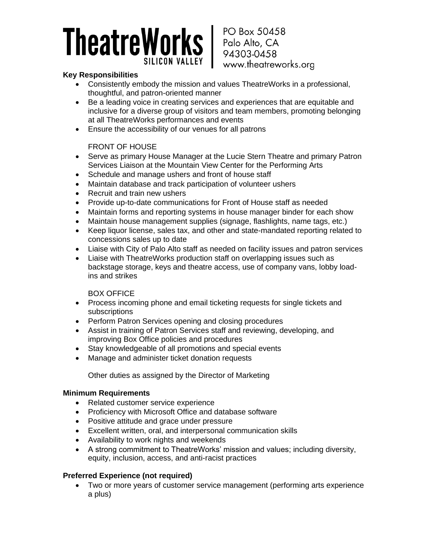# TheatreWorks

PO Box 50458 Palo Alto, CA 94303-0458 www.theatreworks.org

#### **Key Responsibilities**

- Consistently embody the mission and values TheatreWorks in a professional, thoughtful, and patron-oriented manner
- Be a leading voice in creating services and experiences that are equitable and inclusive for a diverse group of visitors and team members, promoting belonging at all TheatreWorks performances and events
- Ensure the accessibility of our venues for all patrons

#### FRONT OF HOUSE

- Serve as primary House Manager at the Lucie Stern Theatre and primary Patron Services Liaison at the Mountain View Center for the Performing Arts
- Schedule and manage ushers and front of house staff
- Maintain database and track participation of volunteer ushers
- Recruit and train new ushers
- Provide up-to-date communications for Front of House staff as needed
- Maintain forms and reporting systems in house manager binder for each show
- Maintain house management supplies (signage, flashlights, name tags, etc.)
- Keep liquor license, sales tax, and other and state-mandated reporting related to concessions sales up to date
- Liaise with City of Palo Alto staff as needed on facility issues and patron services
- Liaise with TheatreWorks production staff on overlapping issues such as backstage storage, keys and theatre access, use of company vans, lobby loadins and strikes

#### BOX OFFICE

- Process incoming phone and email ticketing requests for single tickets and subscriptions
- Perform Patron Services opening and closing procedures
- Assist in training of Patron Services staff and reviewing, developing, and improving Box Office policies and procedures
- Stay knowledgeable of all promotions and special events
- Manage and administer ticket donation requests

Other duties as assigned by the Director of Marketing

#### **Minimum Requirements**

- Related customer service experience
- Proficiency with Microsoft Office and database software
- Positive attitude and grace under pressure
- Excellent written, oral, and interpersonal communication skills
- Availability to work nights and weekends
- A strong commitment to TheatreWorks' mission and values; including diversity, equity, inclusion, access, and anti-racist practices

#### **Preferred Experience (not required)**

• Two or more years of customer service management (performing arts experience a plus)